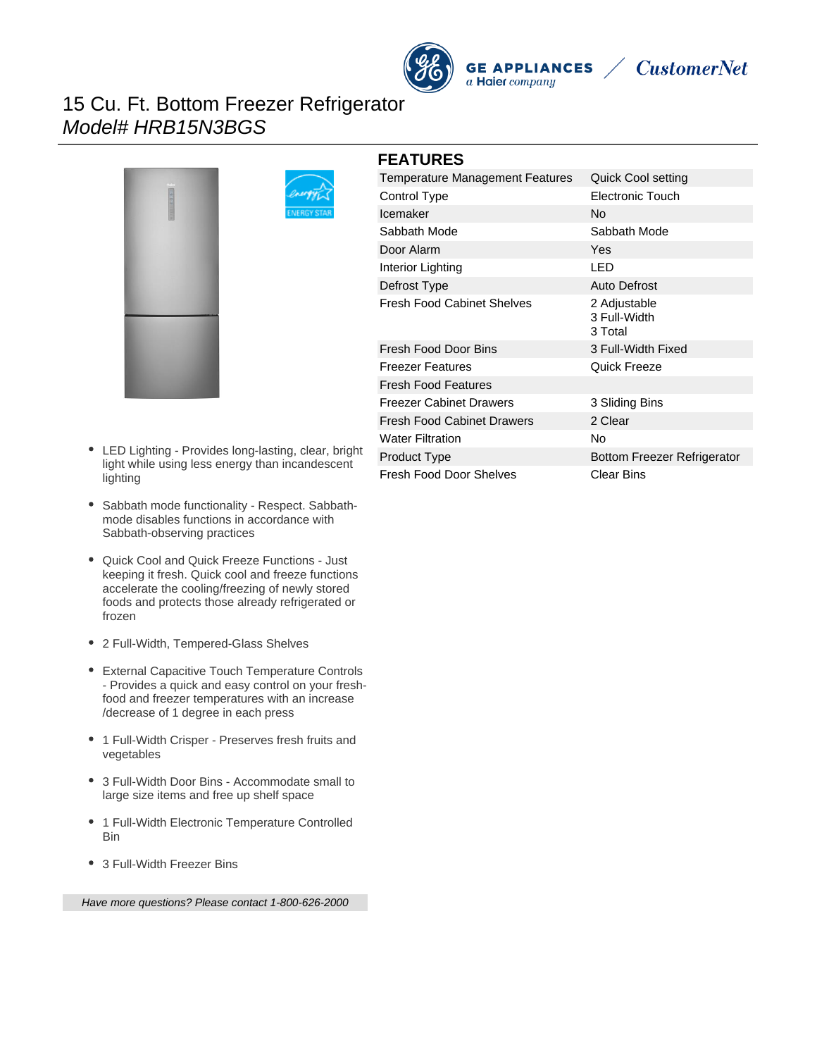# 15 Cu. Ft. Bottom Freezer Refrigerator Model# HRB15N3BGS



- LED Lighting Provides long-lasting, clear, bright light while using less energy than incandescent lighting
- Sabbath mode functionality Respect. Sabbathmode disables functions in accordance with Sabbath-observing practices
- Quick Cool and Quick Freeze Functions Just keeping it fresh. Quick cool and freeze functions accelerate the cooling/freezing of newly stored foods and protects those already refrigerated or frozen
- 2 Full-Width, Tempered-Glass Shelves
- External Capacitive Touch Temperature Controls - Provides a quick and easy control on your freshfood and freezer temperatures with an increase /decrease of 1 degree in each press
- 1 Full-Width Crisper Preserves fresh fruits and vegetables
- 3 Full-Width Door Bins Accommodate small to large size items and free up shelf space
- 1 Full-Width Electronic Temperature Controlled Bin
- 3 Full-Width Freezer Bins

Have more questions? Please contact 1-800-626-2000

| <b>FEATURES</b>                        |                                         |
|----------------------------------------|-----------------------------------------|
| <b>Temperature Management Features</b> | Quick Cool setting                      |
| Control Type                           | Electronic Touch                        |
| Icemaker                               | <b>No</b>                               |
| Sabbath Mode                           | Sabbath Mode                            |
| Door Alarm                             | Yes                                     |
| Interior Lighting                      | LED                                     |
| Defrost Type                           | <b>Auto Defrost</b>                     |
| <b>Fresh Food Cabinet Shelves</b>      | 2 Adjustable<br>3 Full-Width<br>3 Total |
| Fresh Food Door Bins                   | 3 Full-Width Fixed                      |
| <b>Freezer Features</b>                | Quick Freeze                            |
| <b>Fresh Food Features</b>             |                                         |
| <b>Freezer Cabinet Drawers</b>         | 3 Sliding Bins                          |
| <b>Fresh Food Cabinet Drawers</b>      | 2 Clear                                 |
| <b>Water Filtration</b>                | No                                      |
| <b>Product Type</b>                    | <b>Bottom Freezer Refrigerator</b>      |
| <b>Fresh Food Door Shelves</b>         | Clear Bins                              |